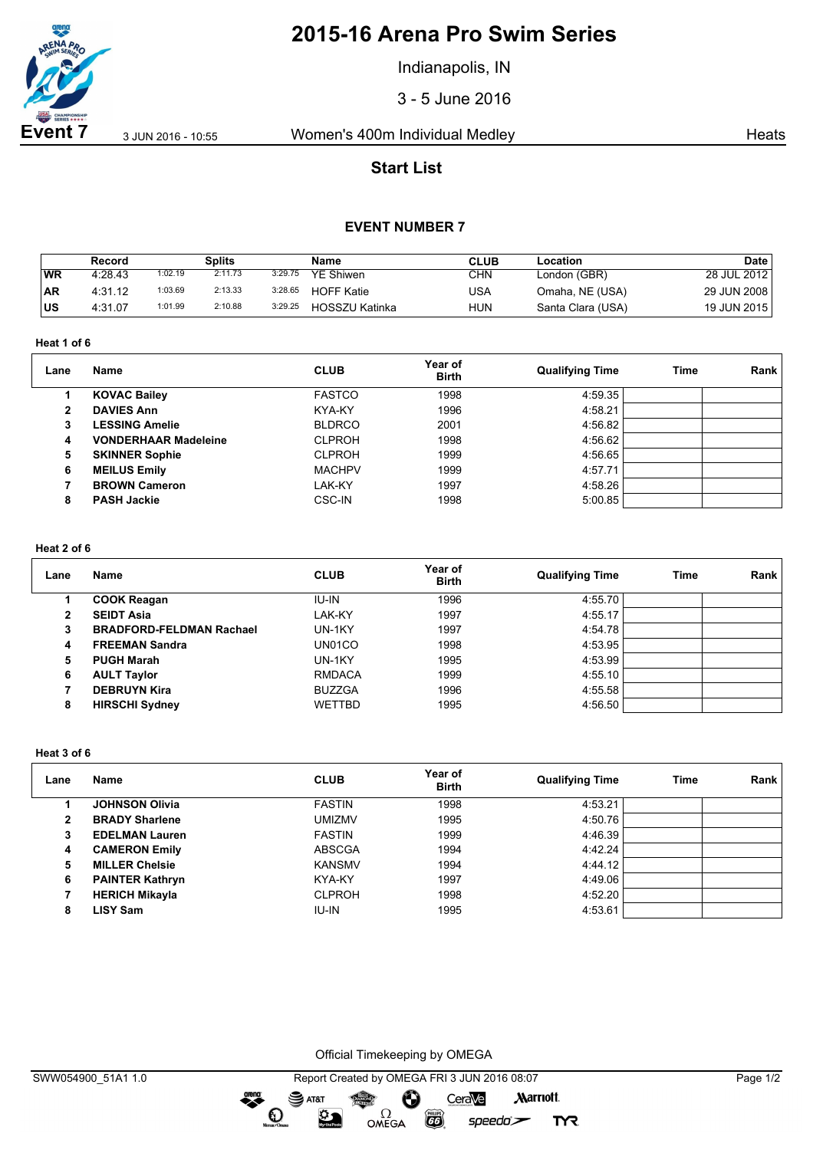

# **2015-16 Arena Pro Swim Series**

Indianapolis, IN

3 - 5 June 2016

**Event 7** 3 Jun 2016 - 10:55 Women's 400m Individual Medley Heats

# **Start List**

## **EVENT NUMBER 7**

|           | Record  |         | Splits  |         | Name              | CLUB | Location          | Date        |
|-----------|---------|---------|---------|---------|-------------------|------|-------------------|-------------|
| WR        | 4:28.43 | 1:02.19 | 2:11.73 | 3:29.75 | <b>YE Shiwen</b>  | CHN  | London (GBR)      | 28 JUL 2012 |
| <b>AR</b> | 4:31.12 | 1:03.69 | 2:13.33 | 3:28.65 | <b>HOFF Katie</b> | USA  | Omaha, NE (USA)   | 29 JUN 2008 |
| บร        | 4:31.07 | 1:01.99 | 2:10.88 | 3:29.25 | HOSSZU Katinka    | HUN  | Santa Clara (USA) | 19 JUN 2015 |

### **Heat 1 of 6**

| Lane         | <b>Name</b>                 | <b>CLUB</b>   | Year of<br><b>Birth</b> | <b>Qualifying Time</b> | Time | Rank |
|--------------|-----------------------------|---------------|-------------------------|------------------------|------|------|
|              | <b>KOVAC Bailey</b>         | <b>FASTCO</b> | 1998                    | 4:59.35                |      |      |
| $\mathbf{2}$ | <b>DAVIES Ann</b>           | KYA-KY        | 1996                    | 4:58.21                |      |      |
| 3            | <b>LESSING Amelie</b>       | <b>BLDRCO</b> | 2001                    | 4:56.82                |      |      |
| 4            | <b>VONDERHAAR Madeleine</b> | <b>CLPROH</b> | 1998                    | 4:56.62                |      |      |
| 5            | <b>SKINNER Sophie</b>       | <b>CLPROH</b> | 1999                    | 4:56.65                |      |      |
| 6            | <b>MEILUS Emily</b>         | <b>MACHPV</b> | 1999                    | 4:57.71                |      |      |
|              | <b>BROWN Cameron</b>        | LAK-KY        | 1997                    | 4:58.26                |      |      |
| 8            | <b>PASH Jackie</b>          | CSC-IN        | 1998                    | 5:00.85                |      |      |

#### **Heat 2 of 6**

| Lane | Name                            | <b>CLUB</b>   | Year of<br><b>Birth</b> | <b>Qualifying Time</b> | <b>Time</b> | Rank |
|------|---------------------------------|---------------|-------------------------|------------------------|-------------|------|
|      | <b>COOK Reagan</b>              | <b>IU-IN</b>  | 1996                    | 4:55.70                |             |      |
|      | <b>SEIDT Asia</b>               | LAK-KY        | 1997                    | 4:55.17                |             |      |
| 3    | <b>BRADFORD-FELDMAN Rachael</b> | UN-1KY        | 1997                    | 4:54.78                |             |      |
| 4    | <b>FREEMAN Sandra</b>           | UN01CO        | 1998                    | 4:53.95                |             |      |
| 5    | <b>PUGH Marah</b>               | UN-1KY        | 1995                    | 4:53.99                |             |      |
| 6    | <b>AULT Taylor</b>              | <b>RMDACA</b> | 1999                    | 4:55.10                |             |      |
|      | <b>DEBRUYN Kira</b>             | <b>BUZZGA</b> | 1996                    | 4:55.58                |             |      |
| 8    | <b>HIRSCHI Sydney</b>           | <b>WETTBD</b> | 1995                    | 4:56.50                |             |      |

### **Heat 3 of 6**

| Lane | Name                   | <b>CLUB</b>   | Year of<br><b>Birth</b> | <b>Qualifying Time</b> | Time | Rank |
|------|------------------------|---------------|-------------------------|------------------------|------|------|
|      | <b>JOHNSON Olivia</b>  | <b>FASTIN</b> | 1998                    | 4:53.21                |      |      |
| 2    | <b>BRADY Sharlene</b>  | UMIZMV        | 1995                    | 4:50.76                |      |      |
| 3    | <b>EDELMAN Lauren</b>  | <b>FASTIN</b> | 1999                    | 4:46.39                |      |      |
| 4    | <b>CAMERON Emily</b>   | <b>ABSCGA</b> | 1994                    | 4:42.24                |      |      |
| 5    | <b>MILLER Chelsie</b>  | <b>KANSMV</b> | 1994                    | 4:44.12                |      |      |
| 6    | <b>PAINTER Kathryn</b> | KYA-KY        | 1997                    | 4:49.06                |      |      |
|      | <b>HERICH Mikayla</b>  | <b>CLPROH</b> | 1998                    | 4:52.20                |      |      |
| 8    | LISY Sam               | IU-IN         | 1995                    | 4:53.61                |      |      |

Official Timekeeping by OMEGA

 $\Omega$ OMEGA

dreng:

 $\mathbf O$ 

ହ

 $\overline{G}$ 

 $speedo$ 

**TYR**